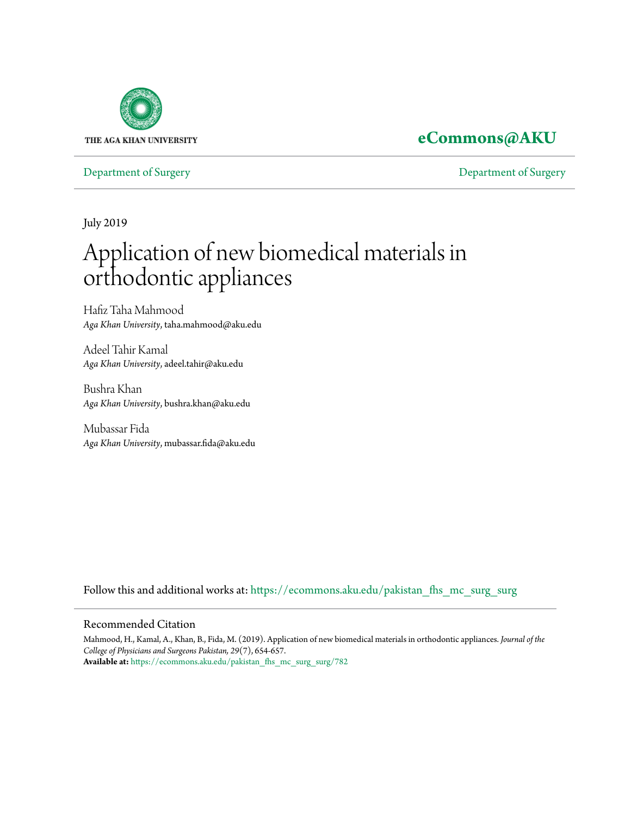

### **[eCommons@AKU](https://ecommons.aku.edu?utm_source=ecommons.aku.edu%2Fpakistan_fhs_mc_surg_surg%2F782&utm_medium=PDF&utm_campaign=PDFCoverPages)**

[Department of Surgery](https://ecommons.aku.edu/pakistan_fhs_mc_surg_surg?utm_source=ecommons.aku.edu%2Fpakistan_fhs_mc_surg_surg%2F782&utm_medium=PDF&utm_campaign=PDFCoverPages) [Department of Surgery](https://ecommons.aku.edu/pakistan_fhs_mc_surg?utm_source=ecommons.aku.edu%2Fpakistan_fhs_mc_surg_surg%2F782&utm_medium=PDF&utm_campaign=PDFCoverPages)

July 2019

# Application of new biomedical materials in orthodontic appliances

Hafiz Taha Mahmood *Aga Khan University*, taha.mahmood@aku.edu

Adeel Tahir Kamal *Aga Khan University*, adeel.tahir@aku.edu

Bushra Khan *Aga Khan University*, bushra.khan@aku.edu

Mubassar Fida *Aga Khan University*, mubassar.fida@aku.edu

Follow this and additional works at: [https://ecommons.aku.edu/pakistan\\_fhs\\_mc\\_surg\\_surg](https://ecommons.aku.edu/pakistan_fhs_mc_surg_surg?utm_source=ecommons.aku.edu%2Fpakistan_fhs_mc_surg_surg%2F782&utm_medium=PDF&utm_campaign=PDFCoverPages)

#### Recommended Citation

Mahmood, H., Kamal, A., Khan, B., Fida, M. (2019). Application of new biomedical materials in orthodontic appliances. *Journal of the College of Physicians and Surgeons Pakistan, 29*(7), 654-657. **Available at:** [https://ecommons.aku.edu/pakistan\\_fhs\\_mc\\_surg\\_surg/782](https://ecommons.aku.edu/pakistan_fhs_mc_surg_surg/782)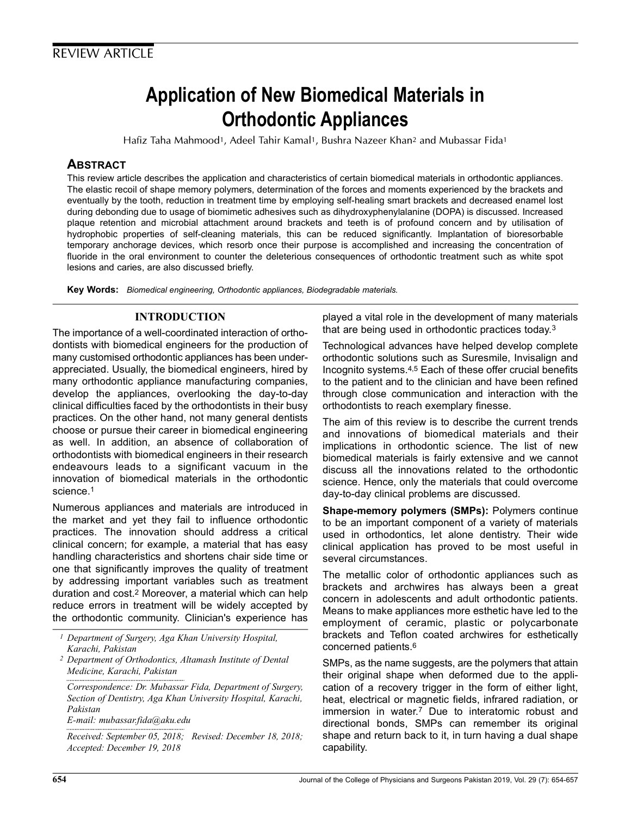## Application of New Biomedical Materials in Orthodontic Appliances

Hafiz Taha Mahmood1, Adeel Tahir Kamal1, Bushra Nazeer Khan<sup>2</sup> and Mubassar Fida<sup>1</sup>

#### **ABSTRACT**

This review article describes the application and characteristics of certain biomedical materials in orthodontic appliances. The elastic recoil of shape memory polymers, determination of the forces and moments experienced by the brackets and eventually by the tooth, reduction in treatment time by employing self-healing smart brackets and decreased enamel lost during debonding due to usage of biomimetic adhesives such as dihydroxyphenylalanine (DOPA) is discussed. Increased plaque retention and microbial attachment around brackets and teeth is of profound concern and by utilisation of hydrophobic properties of self-cleaning materials, this can be reduced significantly. Implantation of bioresorbable temporary anchorage devices, which resorb once their purpose is accomplished and increasing the concentration of fluoride in the oral environment to counter the deleterious consequences of orthodontic treatment such as white spot lesions and caries, are also discussed briefly.

Key Words: Biomedical engineering, Orthodontic appliances, Biodegradable materials.

#### INTRODUCTION

The importance of a well-coordinated interaction of orthodontists with biomedical engineers for the production of many customised orthodontic appliances has been underappreciated. Usually, the biomedical engineers, hired by many orthodontic appliance manufacturing companies, develop the appliances, overlooking the day-to-day clinical difficulties faced by the orthodontists in their busy practices. On the other hand, not many general dentists choose or pursue their career in biomedical engineering as well. In addition, an absence of collaboration of orthodontists with biomedical engineers in their research endeavours leads to a significant vacuum in the innovation of biomedical materials in the orthodontic science.<sup>1</sup>

Numerous appliances and materials are introduced in the market and yet they fail to influence orthodontic practices. The innovation should address a critical clinical concern; for example, a material that has easy handling characteristics and shortens chair side time or one that significantly improves the quality of treatment by addressing important variables such as treatment duration and cost.<sup>2</sup> Moreover, a material which can help reduce errors in treatment will be widely accepted by the orthodontic community. Clinician's experience has

1 Department of Surgery, Aga Khan University Hospital, Karachi, Pakistan

2 Department of Orthodontics, Altamash Institute of Dental Medicine, Karachi, Pakistan

Correspondence: Dr. Mubassar Fida, Department of Surgery, Section of Dentistry, Aga Khan University Hospital, Karachi, Pakistan

E-mail: mubassar.fida@aku.edu

Received: September 05, 2018; Revised: December 18, 2018; Accepted: December 19, 2018

played a vital role in the development of many materials that are being used in orthodontic practices today.<sup>3</sup>

Technological advances have helped develop complete orthodontic solutions such as Suresmile, Invisalign and Incognito systems.4,5 Each of these offer crucial benefits to the patient and to the clinician and have been refined through close communication and interaction with the orthodontists to reach exemplary finesse.

The aim of this review is to describe the current trends and innovations of biomedical materials and their implications in orthodontic science. The list of new biomedical materials is fairly extensive and we cannot discuss all the innovations related to the orthodontic science. Hence, only the materials that could overcome day-to-day clinical problems are discussed.

Shape-memory polymers (SMPs): Polymers continue to be an important component of a variety of materials used in orthodontics, let alone dentistry. Their wide clinical application has proved to be most useful in several circumstances.

The metallic color of orthodontic appliances such as brackets and archwires has always been a great concern in adolescents and adult orthodontic patients. Means to make appliances more esthetic have led to the employment of ceramic, plastic or polycarbonate brackets and Teflon coated archwires for esthetically concerned patients.<sup>6</sup>

SMPs, as the name suggests, are the polymers that attain their original shape when deformed due to the application of a recovery trigger in the form of either light, heat, electrical or magnetic fields, infrared radiation, or immersion in water.<sup>7</sup> Due to interatomic robust and directional bonds, SMPs can remember its original shape and return back to it, in turn having a dual shape capability.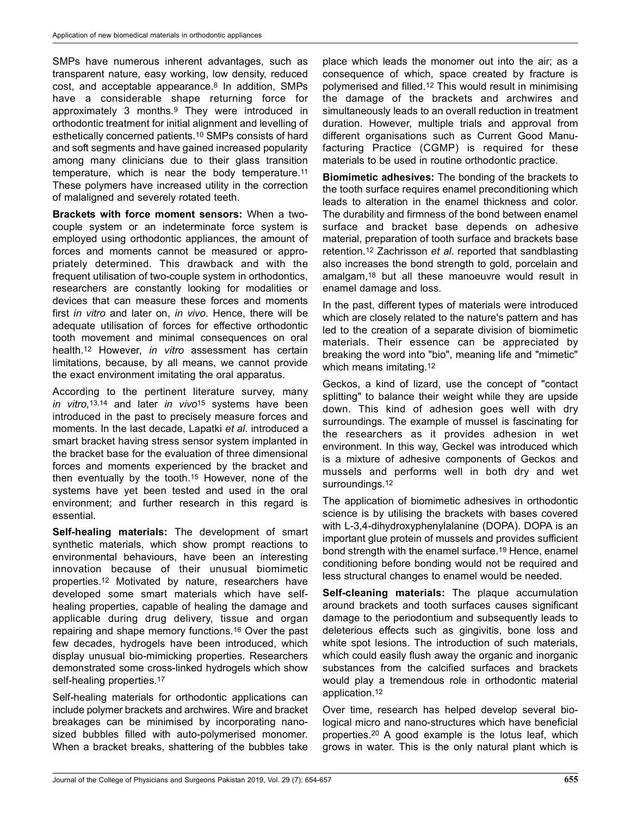SMPs have numerous inherent advantages, such as transparent nature, easy working, low density, reduced cost, and acceptable appearance.<sup>8</sup> In addition, SMPs have a considerable shape returning force for approximately 3 months.<sup>9</sup> They were introduced in orthodontic treatment for initial alignment and levelling of esthetically concerned patients.<sup>10</sup> SMPs consists of hard and soft segments and have gained increased popularity among many clinicians due to their glass transition temperature, which is near the body temperature.<sup>11</sup> These polymers have increased utility in the correction of malaligned and severely rotated teeth.

Brackets with force moment sensors: When a twocouple system or an indeterminate force system is employed using orthodontic appliances, the amount of forces and moments cannot be measured or appropriately determined. This drawback and with the frequent utilisation of two-couple system in orthodontics, researchers are constantly looking for modalities or devices that can measure these forces and moments first *in vitro* and later on, *in vivo*. Hence, there will be adequate utilisation of forces for effective orthodontic tooth movement and minimal consequences on oral health.<sup>12</sup> However, in vitro assessment has certain limitations, because, by all means, we cannot provide the exact environment imitating the oral apparatus.

According to the pertinent literature survey, many in vitro, 13,14 and later in vivo<sup>15</sup> systems have been introduced in the past to precisely measure forces and moments. In the last decade, Lapatki et al. introduced a smart bracket having stress sensor system implanted in the bracket base for the evaluation of three dimensional forces and moments experienced by the bracket and then eventually by the tooth.<sup>15</sup> However, none of the systems have yet been tested and used in the oral environment; and further research in this regard is essential.

Self-healing materials: The development of smart synthetic materials, which show prompt reactions to environmental behaviours, have been an interesting innovation because of their unusual biomimetic properties.<sup>12</sup> Motivated by nature, researchers have developed some smart materials which have selfhealing properties, capable of healing the damage and applicable during drug delivery, tissue and organ repairing and shape memory functions.<sup>16</sup> Over the past few decades, hydrogels have been introduced, which display unusual bio-mimicking properties. Researchers demonstrated some cross-linked hydrogels which show self-healing properties.<sup>17</sup>

Self-healing materials for orthodontic applications can include polymer brackets and archwires. Wire and bracket breakages can be minimised by incorporating nanosized bubbles filled with auto-polymerised monomer. When a bracket breaks, shattering of the bubbles take place which leads the monomer out into the air; as a consequence of which, space created by fracture is polymerised and filled.<sup>12</sup> This would result in minimising the damage of the brackets and archwires and simultaneously leads to an overall reduction in treatment duration. However, multiple trials and approval from different organisations such as Current Good Manufacturing Practice (CGMP) is required for these materials to be used in routine orthodontic practice.

Biomimetic adhesives: The bonding of the brackets to the tooth surface requires enamel preconditioning which leads to alteration in the enamel thickness and color. The durability and firmness of the bond between enamel surface and bracket base depends on adhesive material, preparation of tooth surface and brackets base retention.<sup>12</sup> Zachrisson et al. reported that sandblasting also increases the bond strength to gold, porcelain and amalgam,<sup>18</sup> but all these manoeuvre would result in enamel damage and loss.

In the past, different types of materials were introduced which are closely related to the nature's pattern and has led to the creation of a separate division of biomimetic materials. Their essence can be appreciated by breaking the word into "bio", meaning life and "mimetic" which means imitating.<sup>12</sup>

Geckos, a kind of lizard, use the concept of "contact splitting" to balance their weight while they are upside down. This kind of adhesion goes well with dry surroundings. The example of mussel is fascinating for the researchers as it provides adhesion in wet environment. In this way, Geckel was introduced which is a mixture of adhesive components of Geckos and mussels and performs well in both dry and wet surroundings.<sup>12</sup>

The application of biomimetic adhesives in orthodontic science is by utilising the brackets with bases covered with L-3,4-dihydroxyphenylalanine (DOPA). DOPA is an important glue protein of mussels and provides sufficient bond strength with the enamel surface.<sup>19</sup> Hence, enamel conditioning before bonding would not be required and less structural changes to enamel would be needed.

Self-cleaning materials: The plaque accumulation around brackets and tooth surfaces causes significant damage to the periodontium and subsequently leads to deleterious effects such as gingivitis, bone loss and white spot lesions. The introduction of such materials, which could easily flush away the organic and inorganic substances from the calcified surfaces and brackets would play a tremendous role in orthodontic material application.<sup>12</sup>

Over time, research has helped develop several biological micro and nano-structures which have beneficial properties.<sup>20</sup> A good example is the lotus leaf, which grows in water. This is the only natural plant which is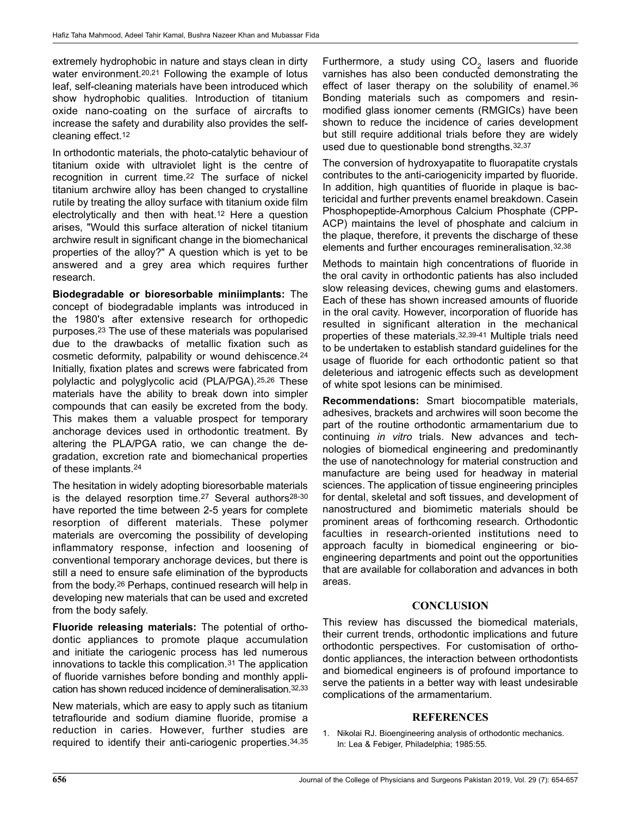extremely hydrophobic in nature and stays clean in dirty water environment.<sup>20,21</sup> Following the example of lotus leaf, self-cleaning materials have been introduced which show hydrophobic qualities. Introduction of titanium oxide nano-coating on the surface of aircrafts to increase the safety and durability also provides the selfcleaning effect.<sup>12</sup>

In orthodontic materials, the photo-catalytic behaviour of titanium oxide with ultraviolet light is the centre of recognition in current time.<sup>22</sup> The surface of nickel titanium archwire alloy has been changed to crystalline rutile by treating the alloy surface with titanium oxide film electrolytically and then with heat.<sup>12</sup> Here a question arises, "Would this surface alteration of nickel titanium archwire result in significant change in the biomechanical properties of the alloy?" A question which is yet to be answered and a grey area which requires further research.

Biodegradable or bioresorbable miniimplants: The concept of biodegradable implants was introduced in the 1980's after extensive research for orthopedic purposes.<sup>23</sup> The use of these materials was popularised due to the drawbacks of metallic fixation such as cosmetic deformity, palpability or wound dehiscence.<sup>24</sup> Initially, fixation plates and screws were fabricated from polylactic and polyglycolic acid (PLA/PGA).25,26 These materials have the ability to break down into simpler compounds that can easily be excreted from the body. This makes them a valuable prospect for temporary anchorage devices used in orthodontic treatment. By altering the PLA/PGA ratio, we can change the degradation, excretion rate and biomechanical properties of these implants.<sup>24</sup>

The hesitation in widely adopting bioresorbable materials is the delayed resorption time.<sup>27</sup> Several authors<sup>28-30</sup> have reported the time between 2-5 years for complete resorption of different materials. These polymer materials are overcoming the possibility of developing inflammatory response, infection and loosening of conventional temporary anchorage devices, but there is still a need to ensure safe elimination of the byproducts from the body.<sup>26</sup> Perhaps, continued research will help in developing new materials that can be used and excreted from the body safely.

Fluoride releasing materials: The potential of orthodontic appliances to promote plaque accumulation and initiate the cariogenic process has led numerous innovations to tackle this complication.<sup>31</sup> The application of fluoride varnishes before bonding and monthly application has shown reduced incidence of demineralisation.32,33

New materials, which are easy to apply such as titanium tetraflouride and sodium diamine fluoride, promise a reduction in caries. However, further studies are required to identify their anti-cariogenic properties.34,35

Furthermore, a study using  $\mathtt{CO}_2$  lasers and fluoride varnishes has also been conducted demonstrating the effect of laser therapy on the solubility of enamel.<sup>36</sup> Bonding materials such as compomers and resinmodified glass ionomer cements (RMGICs) have been shown to reduce the incidence of caries development but still require additional trials before they are widely used due to questionable bond strengths.32,37

The conversion of hydroxyapatite to fluorapatite crystals contributes to the anti-cariogenicity imparted by fluoride. In addition, high quantities of fluoride in plaque is bactericidal and further prevents enamel breakdown. Casein Phosphopeptide-Amorphous Calcium Phosphate (CPP-ACP) maintains the level of phosphate and calcium in the plaque, therefore, it prevents the discharge of these elements and further encourages remineralisation.32,38

Methods to maintain high concentrations of fluoride in the oral cavity in orthodontic patients has also included slow releasing devices, chewing gums and elastomers. Each of these has shown increased amounts of fluoride in the oral cavity. However, incorporation of fluoride has resulted in significant alteration in the mechanical properties of these materials.32,39-41 Multiple trials need to be undertaken to establish standard guidelines for the usage of fluoride for each orthodontic patient so that deleterious and iatrogenic effects such as development of white spot lesions can be minimised.

Recommendations: Smart biocompatible materials, adhesives, brackets and archwires will soon become the part of the routine orthodontic armamentarium due to continuing *in vitro* trials. New advances and technologies of biomedical engineering and predominantly the use of nanotechnology for material construction and manufacture are being used for headway in material sciences. The application of tissue engineering principles for dental, skeletal and soft tissues, and development of nanostructured and biomimetic materials should be prominent areas of forthcoming research. Orthodontic faculties in research-oriented institutions need to approach faculty in biomedical engineering or bioengineering departments and point out the opportunities that are available for collaboration and advances in both areas.

#### **CONCLUSION**

This review has discussed the biomedical materials, their current trends, orthodontic implications and future orthodontic perspectives. For customisation of orthodontic appliances, the interaction between orthodontists and biomedical engineers is of profound importance to serve the patients in a better way with least undesirable complications of the armamentarium.

#### REFERENCES

1. Nikolai RJ. Bioengineering analysis of orthodontic mechanics. In: Lea & Febiger, Philadelphia; 1985:55.